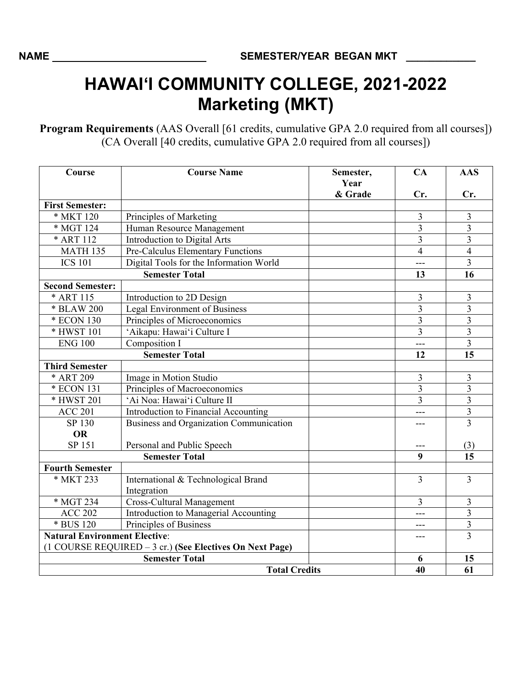## **HAWAI'I COMMUNITY COLLEGE, 2021-2022 Marketing (MKT)**

**Program Requirements** (AAS Overall [61 credits, cumulative GPA 2.0 required from all courses]) (CA Overall [40 credits, cumulative GPA 2.0 required from all courses])

| Course                               | <b>Course Name</b>                                       | Semester,<br>Year | CA             | <b>AAS</b>              |
|--------------------------------------|----------------------------------------------------------|-------------------|----------------|-------------------------|
|                                      |                                                          | & Grade           | Cr.            | Cr.                     |
| <b>First Semester:</b>               |                                                          |                   |                |                         |
| * MKT 120                            | Principles of Marketing                                  |                   | 3              | 3                       |
| * MGT 124                            | Human Resource Management                                |                   | $\overline{3}$ | $\overline{3}$          |
| * ART 112                            | Introduction to Digital Arts                             |                   | 3              | 3                       |
| <b>MATH 135</b>                      | Pre-Calculus Elementary Functions                        |                   | $\overline{4}$ | $\overline{4}$          |
| <b>ICS 101</b>                       | Digital Tools for the Information World                  |                   | ---            | $\overline{3}$          |
| <b>Semester Total</b>                |                                                          |                   | 13             | 16                      |
| <b>Second Semester:</b>              |                                                          |                   |                |                         |
| * ART 115                            | Introduction to 2D Design                                |                   | 3              | $\mathfrak{Z}$          |
| * BLAW 200                           | Legal Environment of Business                            |                   | 3              | 3                       |
| * ECON 130                           | Principles of Microeconomics                             |                   | $\overline{3}$ | $\overline{3}$          |
| * HWST 101                           | 'Aikapu: Hawai'i Culture I                               |                   | 3              | 3                       |
| <b>ENG 100</b>                       | Composition I                                            |                   | ---            | $\overline{3}$          |
| <b>Semester Total</b>                |                                                          |                   | 12             | 15                      |
| <b>Third Semester</b>                |                                                          |                   |                |                         |
| * ART 209                            | Image in Motion Studio                                   |                   | 3              | 3                       |
| * ECON 131                           | Principles of Macroeconomics                             |                   | 3              | $\overline{\mathbf{3}}$ |
| * HWST 201                           | 'Ai Noa: Hawai'i Culture II                              |                   | $\overline{3}$ | $\overline{\mathbf{3}}$ |
| <b>ACC 201</b>                       | Introduction to Financial Accounting                     |                   | ---            | $\overline{\mathbf{3}}$ |
| SP 130                               | Business and Organization Communication                  |                   |                | $\overline{3}$          |
| <b>OR</b>                            |                                                          |                   |                |                         |
| SP 151                               | Personal and Public Speech                               |                   |                | (3)                     |
| <b>Semester Total</b>                |                                                          |                   | 9              | 15                      |
| <b>Fourth Semester</b>               |                                                          |                   |                |                         |
| * MKT 233                            | International & Technological Brand                      |                   | 3              | 3                       |
|                                      | Integration                                              |                   |                |                         |
| * MGT 234                            | <b>Cross-Cultural Management</b>                         |                   | $\overline{3}$ | $\mathfrak{Z}$          |
| <b>ACC 202</b>                       | Introduction to Managerial Accounting                    |                   | ---            | $\overline{3}$          |
| * BUS 120                            | Principles of Business                                   |                   | ---            | $\mathfrak{Z}$          |
| <b>Natural Environment Elective:</b> |                                                          |                   | ---            | $\overline{3}$          |
|                                      | (1 COURSE REQUIRED – 3 cr.) (See Electives On Next Page) |                   | 6              |                         |
| <b>Semester Total</b>                |                                                          |                   |                | 15                      |
| <b>Total Credits</b>                 |                                                          |                   | 40             | 61                      |